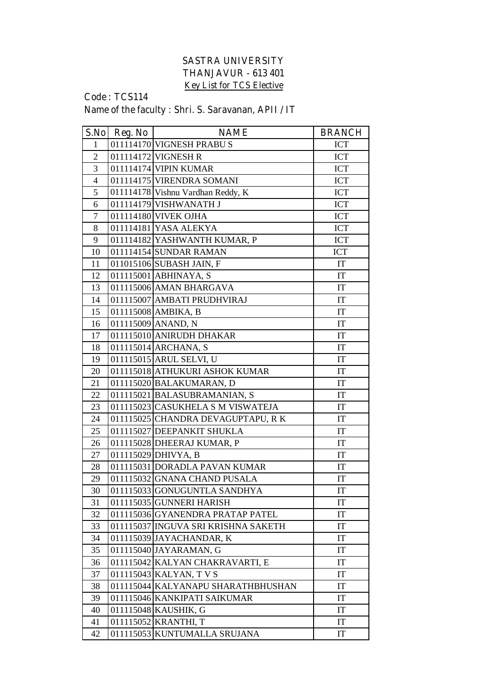## **SASTRA UNIVERSITY THANJAVUR - 613 401 Key List for TCS Elective**

**Code : TCS114**

## **Name of the faculty : Shri. S. Saravanan, APII / IT**

|                | $S.No$ Reg. No | <b>NAME</b>                         | <b>BRANCH</b>          |
|----------------|----------------|-------------------------------------|------------------------|
| 1              |                | 011114170 VIGNESH PRABUS            | ICT                    |
| $\overline{2}$ |                | 011114172 VIGNESH R                 | <b>ICT</b>             |
| 3              |                | 011114174 VIPIN KUMAR               | ICT                    |
| $\overline{4}$ |                | 011114175 VIRENDRA SOMANI           | <b>ICT</b>             |
| 5              |                | 011114178 Vishnu Vardhan Reddy, K   | <b>ICT</b>             |
| 6              |                | 011114179 VISHWANATH J              | <b>ICT</b>             |
| 7              |                | 011114180 VIVEK OJHA                | ICT                    |
| 8              |                | 011114181 YASA ALEKYA               | ICT                    |
| 9              |                | 011114182 YASHWANTH KUMAR, P        | <b>ICT</b>             |
| 10             |                | 011114154 SUNDAR RAMAN              | <b>ICT</b>             |
| 11             |                | 011015106 SUBASH JAIN, F            | IT                     |
| 12             |                | 011115001 ABHINAYA, S               | $\mathop{\mathrm{IT}}$ |
| 13             |                | 011115006 AMAN BHARGAVA             | IT                     |
| 14             |                | 011115007 AMBATI PRUDHVIRAJ         | IT                     |
| 15             |                | 011115008 AMBIKA, B                 | IT                     |
| 16             |                | 011115009 ANAND, N                  | IT                     |
| 17             |                | 011115010 ANIRUDH DHAKAR            | IT                     |
| 18             |                | 011115014 ARCHANA, S                | IT                     |
| 19             |                | 011115015 ARUL SELVI, U             | IT                     |
| 20             |                | 011115018 ATHUKURI ASHOK KUMAR      | IT                     |
| 21             |                | 011115020 BALAKUMARAN, D            | IT                     |
| 22             |                | 011115021 BALASUBRAMANIAN, S        | IT                     |
| 23             |                | 011115023 CASUKHELA S M VISWATEJA   | IT                     |
| 24             |                | 011115025 CHANDRA DEVAGUPTAPU, RK   | IT                     |
| 25             |                | 011115027 DEEPANKIT SHUKLA          | IT                     |
| 26             |                | 011115028 DHEERAJ KUMAR, P          | IT                     |
| 27             |                | 011115029 DHIVYA, B                 | IT                     |
| 28             |                | 011115031 DORADLA PAVAN KUMAR       | IT                     |
| 29             |                | 011115032 GNANA CHAND PUSALA        | IT                     |
| 30             |                | 011115033 GONUGUNTLA SANDHYA        | IT                     |
| 31             |                | 011115035 GUNNERI HARISH            | IT                     |
| 32             |                | 011115036 GYANENDRA PRATAP PATEL    | IT                     |
| 33             |                | 011115037 INGUVA SRI KRISHNA SAKETH | IT                     |
| 34             |                | 011115039 JAYACHANDAR, K            | IT                     |
| 35             |                | 011115040 JAYARAMAN, G              | IT                     |
| 36             |                | 011115042 KALYAN CHAKRAVARTI, E     | IT                     |
| 37             |                | 011115043 KALYAN, T V S             | IT                     |
| 38             |                | 011115044 KALYANAPU SHARATHBHUSHAN  | IT                     |
| 39             |                | 011115046 KANKIPATI SAIKUMAR        | IT                     |
| 40             |                | 011115048 KAUSHIK, G                | IT                     |
| 41             |                | 011115052 KRANTHI, T                | IT                     |
| 42             |                | 011115053 KUNTUMALLA SRUJANA        | IT                     |